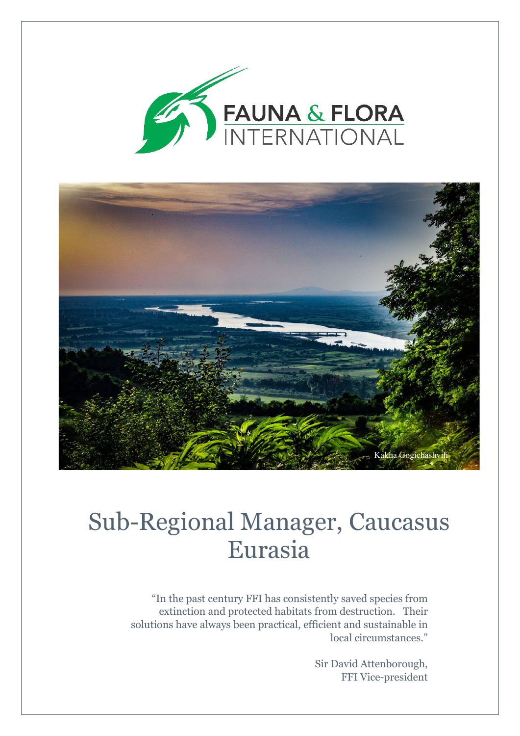



## Sub-Regional Manager, Caucasus Eurasia

"In the past century FFI has consistently saved species from extinction and protected habitats from destruction. Their solutions have always been practical, efficient and sustainable in local circumstances."

> Sir David Attenborough, FFI Vice-president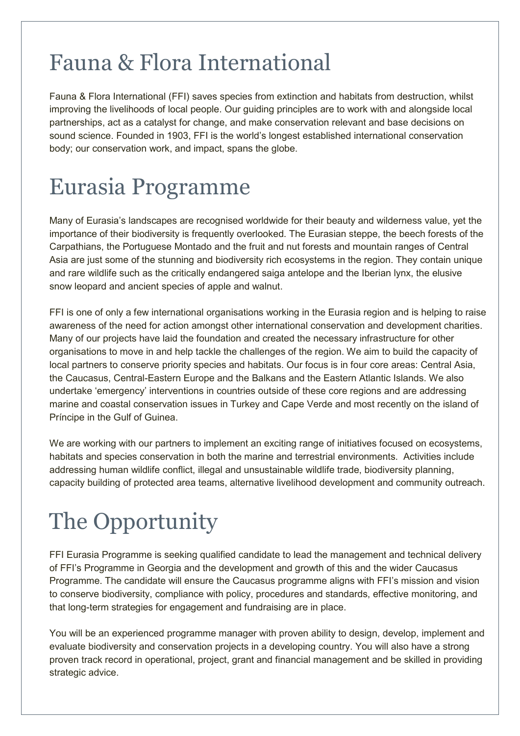### Fauna & Flora International

Fauna & Flora International (FFI) saves species from extinction and habitats from destruction, whilst improving the livelihoods of local people. Our guiding principles are to work with and alongside local partnerships, act as a catalyst for change, and make conservation relevant and base decisions on sound science. Founded in 1903, FFI is the world's longest established international conservation body; our conservation work, and impact, spans the globe.

## Eurasia Programme

Many of Eurasia's landscapes are recognised worldwide for their beauty and wilderness value, yet the importance of their biodiversity is frequently overlooked. The Eurasian steppe, the beech forests of the Carpathians, the Portuguese Montado and the fruit and nut forests and mountain ranges of Central Asia are just some of the stunning and biodiversity rich ecosystems in the region. They contain unique and rare wildlife such as the critically endangered saiga antelope and the Iberian lynx, the elusive snow leopard and ancient species of apple and walnut.

FFI is one of only a few international organisations working in the Eurasia region and is helping to raise awareness of the need for action amongst other international conservation and development charities. Many of our projects have laid the foundation and created the necessary infrastructure for other organisations to move in and help tackle the challenges of the region. We aim to build the capacity of local partners to conserve priority species and habitats. Our focus is in four core areas: Central Asia, the Caucasus, Central-Eastern Europe and the Balkans and the Eastern Atlantic Islands. We also undertake 'emergency' interventions in countries outside of these core regions and are addressing marine and coastal conservation issues in Turkey and Cape Verde and most recently on the island of Príncipe in the Gulf of Guinea.

We are working with our partners to implement an exciting range of initiatives focused on ecosystems, habitats and species conservation in both the marine and terrestrial environments. Activities include addressing human wildlife conflict, illegal and unsustainable wildlife trade, biodiversity planning, capacity building of protected area teams, alternative livelihood development and community outreach.

# The Opportunity

FFI Eurasia Programme is seeking qualified candidate to lead the management and technical delivery of FFI's Programme in Georgia and the development and growth of this and the wider Caucasus Programme. The candidate will ensure the Caucasus programme aligns with FFI's mission and vision to conserve biodiversity, compliance with policy, procedures and standards, effective monitoring, and that long-term strategies for engagement and fundraising are in place.

You will be an experienced programme manager with proven ability to design, develop, implement and evaluate biodiversity and conservation projects in a developing country. You will also have a strong proven track record in operational, project, grant and financial management and be skilled in providing strategic advice.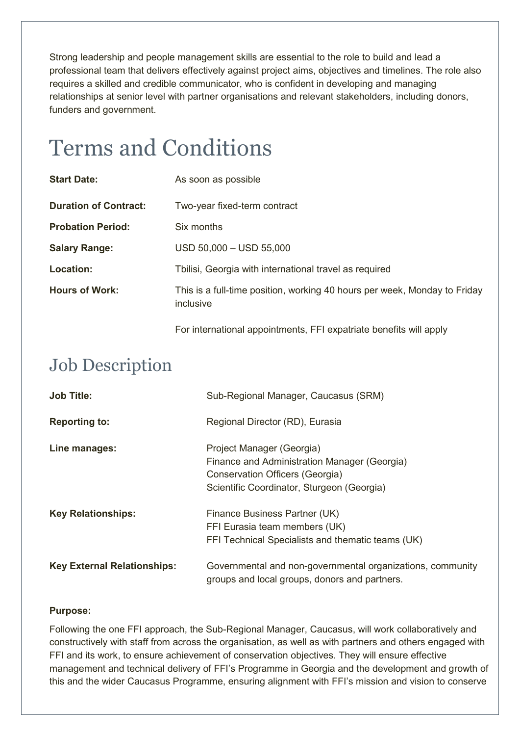Strong leadership and people management skills are essential to the role to build and lead a professional team that delivers effectively against project aims, objectives and timelines. The role also requires a skilled and credible communicator, who is confident in developing and managing relationships at senior level with partner organisations and relevant stakeholders, including donors, funders and government.

### Terms and Conditions

| <b>Start Date:</b>           | As soon as possible                                                                    |
|------------------------------|----------------------------------------------------------------------------------------|
| <b>Duration of Contract:</b> | Two-year fixed-term contract                                                           |
| <b>Probation Period:</b>     | Six months                                                                             |
| <b>Salary Range:</b>         | $USD$ 50,000 $-$ USD 55,000                                                            |
| Location:                    | Tbilisi, Georgia with international travel as required                                 |
| <b>Hours of Work:</b>        | This is a full-time position, working 40 hours per week, Monday to Friday<br>inclusive |

For international appointments, FFI expatriate benefits will apply

### Job Description

| <b>Job Title:</b>                  | Sub-Regional Manager, Caucasus (SRM)                                                                                                                       |  |
|------------------------------------|------------------------------------------------------------------------------------------------------------------------------------------------------------|--|
| <b>Reporting to:</b>               | Regional Director (RD), Eurasia                                                                                                                            |  |
| Line manages:                      | Project Manager (Georgia)<br>Finance and Administration Manager (Georgia)<br>Conservation Officers (Georgia)<br>Scientific Coordinator, Sturgeon (Georgia) |  |
| <b>Key Relationships:</b>          | Finance Business Partner (UK)<br>FFI Eurasia team members (UK)<br>FFI Technical Specialists and thematic teams (UK)                                        |  |
| <b>Key External Relationships:</b> | Governmental and non-governmental organizations, community<br>groups and local groups, donors and partners.                                                |  |

#### **Purpose:**

Following the one FFI approach, the Sub-Regional Manager, Caucasus, will work collaboratively and constructively with staff from across the organisation, as well as with partners and others engaged with FFI and its work, to ensure achievement of conservation objectives. They will ensure effective management and technical delivery of FFI's Programme in Georgia and the development and growth of this and the wider Caucasus Programme, ensuring alignment with FFI's mission and vision to conserve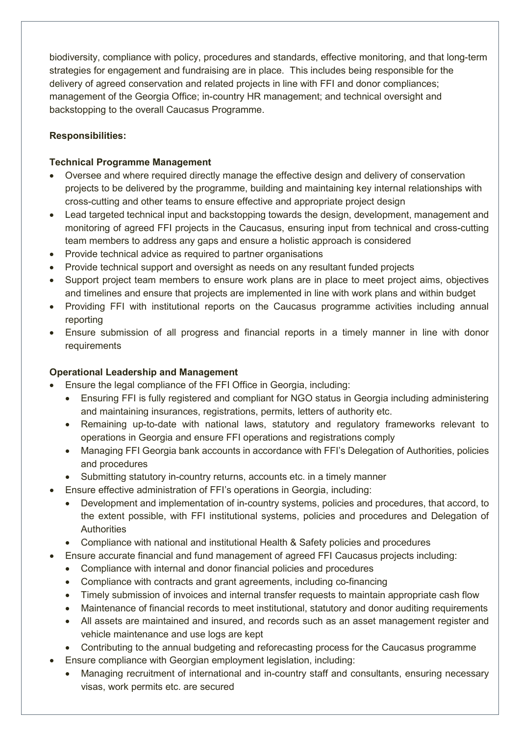biodiversity, compliance with policy, procedures and standards, effective monitoring, and that long-term strategies for engagement and fundraising are in place. This includes being responsible for the delivery of agreed conservation and related projects in line with FFI and donor compliances; management of the Georgia Office; in-country HR management; and technical oversight and backstopping to the overall Caucasus Programme.

#### **Responsibilities:**

#### **Technical Programme Management**

- Oversee and where required directly manage the effective design and delivery of conservation projects to be delivered by the programme, building and maintaining key internal relationships with cross-cutting and other teams to ensure effective and appropriate project design
- Lead targeted technical input and backstopping towards the design, development, management and monitoring of agreed FFI projects in the Caucasus, ensuring input from technical and cross-cutting team members to address any gaps and ensure a holistic approach is considered
- Provide technical advice as required to partner organisations
- Provide technical support and oversight as needs on any resultant funded projects
- Support project team members to ensure work plans are in place to meet project aims, objectives and timelines and ensure that projects are implemented in line with work plans and within budget
- Providing FFI with institutional reports on the Caucasus programme activities including annual reporting
- Ensure submission of all progress and financial reports in a timely manner in line with donor requirements

#### **Operational Leadership and Management**

- Ensure the legal compliance of the FFI Office in Georgia, including:
	- Ensuring FFI is fully registered and compliant for NGO status in Georgia including administering and maintaining insurances, registrations, permits, letters of authority etc.
	- Remaining up-to-date with national laws, statutory and regulatory frameworks relevant to operations in Georgia and ensure FFI operations and registrations comply
	- Managing FFI Georgia bank accounts in accordance with FFI's Delegation of Authorities, policies and procedures
	- Submitting statutory in-country returns, accounts etc. in a timely manner
- Ensure effective administration of FFI's operations in Georgia, including:
	- Development and implementation of in-country systems, policies and procedures, that accord, to the extent possible, with FFI institutional systems, policies and procedures and Delegation of **Authorities**
	- Compliance with national and institutional Health & Safety policies and procedures
- Ensure accurate financial and fund management of agreed FFI Caucasus projects including:
	- Compliance with internal and donor financial policies and procedures
	- Compliance with contracts and grant agreements, including co-financing
	- Timely submission of invoices and internal transfer requests to maintain appropriate cash flow
	- Maintenance of financial records to meet institutional, statutory and donor auditing requirements
	- All assets are maintained and insured, and records such as an asset management register and vehicle maintenance and use logs are kept
	- Contributing to the annual budgeting and reforecasting process for the Caucasus programme
- Ensure compliance with Georgian employment legislation, including:
	- Managing recruitment of international and in-country staff and consultants, ensuring necessary visas, work permits etc. are secured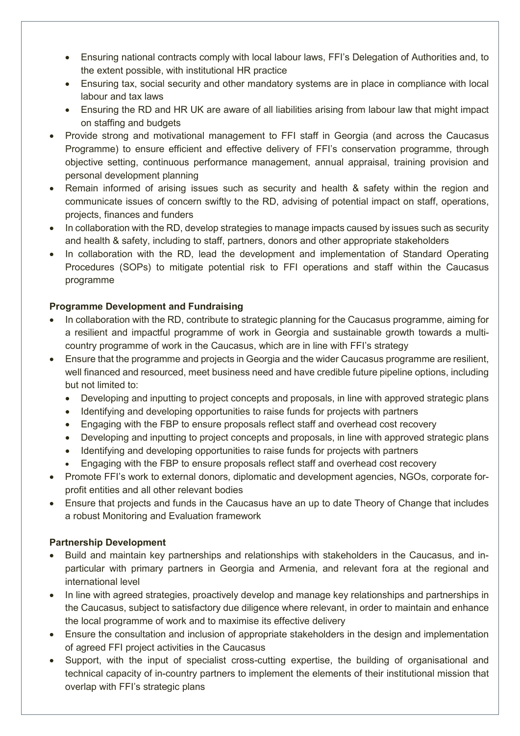- Ensuring national contracts comply with local labour laws, FFI's Delegation of Authorities and, to the extent possible, with institutional HR practice
- Ensuring tax, social security and other mandatory systems are in place in compliance with local labour and tax laws
- Ensuring the RD and HR UK are aware of all liabilities arising from labour law that might impact on staffing and budgets
- Provide strong and motivational management to FFI staff in Georgia (and across the Caucasus Programme) to ensure efficient and effective delivery of FFI's conservation programme, through objective setting, continuous performance management, annual appraisal, training provision and personal development planning
- Remain informed of arising issues such as security and health & safety within the region and communicate issues of concern swiftly to the RD, advising of potential impact on staff, operations, projects, finances and funders
- In collaboration with the RD, develop strategies to manage impacts caused by issues such as security and health & safety, including to staff, partners, donors and other appropriate stakeholders
- In collaboration with the RD, lead the development and implementation of Standard Operating Procedures (SOPs) to mitigate potential risk to FFI operations and staff within the Caucasus programme

#### **Programme Development and Fundraising**

- In collaboration with the RD, contribute to strategic planning for the Caucasus programme, aiming for a resilient and impactful programme of work in Georgia and sustainable growth towards a multicountry programme of work in the Caucasus, which are in line with FFI's strategy
- Ensure that the programme and projects in Georgia and the wider Caucasus programme are resilient, well financed and resourced, meet business need and have credible future pipeline options, including but not limited to:
	- Developing and inputting to project concepts and proposals, in line with approved strategic plans
	- Identifying and developing opportunities to raise funds for projects with partners
	- Engaging with the FBP to ensure proposals reflect staff and overhead cost recovery
	- Developing and inputting to project concepts and proposals, in line with approved strategic plans
	- Identifying and developing opportunities to raise funds for projects with partners
	- Engaging with the FBP to ensure proposals reflect staff and overhead cost recovery
- Promote FFI's work to external donors, diplomatic and development agencies, NGOs, corporate forprofit entities and all other relevant bodies
- Ensure that projects and funds in the Caucasus have an up to date Theory of Change that includes a robust Monitoring and Evaluation framework

#### **Partnership Development**

- Build and maintain key partnerships and relationships with stakeholders in the Caucasus, and inparticular with primary partners in Georgia and Armenia, and relevant fora at the regional and international level
- In line with agreed strategies, proactively develop and manage key relationships and partnerships in the Caucasus, subject to satisfactory due diligence where relevant, in order to maintain and enhance the local programme of work and to maximise its effective delivery
- Ensure the consultation and inclusion of appropriate stakeholders in the design and implementation of agreed FFI project activities in the Caucasus
- Support, with the input of specialist cross-cutting expertise, the building of organisational and technical capacity of in-country partners to implement the elements of their institutional mission that overlap with FFI's strategic plans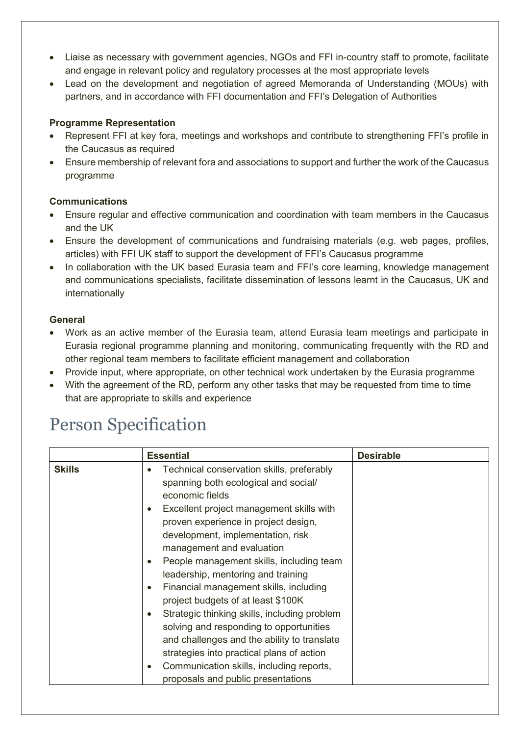- Liaise as necessary with government agencies, NGOs and FFI in-country staff to promote, facilitate and engage in relevant policy and regulatory processes at the most appropriate levels
- Lead on the development and negotiation of agreed Memoranda of Understanding (MOUs) with partners, and in accordance with FFI documentation and FFI's Delegation of Authorities

#### **Programme Representation**

- Represent FFI at key fora, meetings and workshops and contribute to strengthening FFI's profile in the Caucasus as required
- Ensure membership of relevant fora and associations to support and further the work of the Caucasus programme

#### **Communications**

- Ensure regular and effective communication and coordination with team members in the Caucasus and the UK
- Ensure the development of communications and fundraising materials (e.g. web pages, profiles, articles) with FFI UK staff to support the development of FFI's Caucasus programme
- In collaboration with the UK based Eurasia team and FFI's core learning, knowledge management and communications specialists, facilitate dissemination of lessons learnt in the Caucasus, UK and internationally

#### **General**

- Work as an active member of the Eurasia team, attend Eurasia team meetings and participate in Eurasia regional programme planning and monitoring, communicating frequently with the RD and other regional team members to facilitate efficient management and collaboration
- Provide input, where appropriate, on other technical work undertaken by the Eurasia programme
- With the agreement of the RD, perform any other tasks that may be requested from time to time that are appropriate to skills and experience

### Person Specification

| <b>Skills</b><br>Technical conservation skills, preferably<br>$\bullet$<br>spanning both ecological and social/<br>economic fields<br>Excellent project management skills with<br>$\bullet$<br>proven experience in project design,<br>development, implementation, risk<br>management and evaluation<br>People management skills, including team<br>$\bullet$<br>leadership, mentoring and training<br>Financial management skills, including<br>$\bullet$<br>project budgets of at least \$100K<br>Strategic thinking skills, including problem<br>$\bullet$<br>solving and responding to opportunities<br>and challenges and the ability to translate | <b>Essential</b> | <b>Desirable</b> |
|----------------------------------------------------------------------------------------------------------------------------------------------------------------------------------------------------------------------------------------------------------------------------------------------------------------------------------------------------------------------------------------------------------------------------------------------------------------------------------------------------------------------------------------------------------------------------------------------------------------------------------------------------------|------------------|------------------|
| strategies into practical plans of action<br>Communication skills, including reports,<br>$\bullet$<br>proposals and public presentations                                                                                                                                                                                                                                                                                                                                                                                                                                                                                                                 |                  |                  |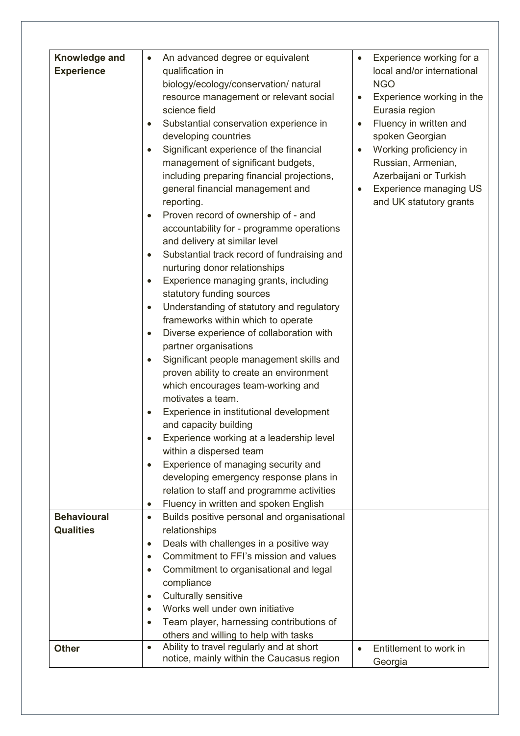| Knowledge and<br><b>Experience</b><br><b>Behavioural</b><br><b>Qualities</b> | An advanced degree or equivalent<br>$\bullet$<br>qualification in<br>biology/ecology/conservation/ natural<br>resource management or relevant social<br>science field<br>Substantial conservation experience in<br>developing countries<br>Significant experience of the financial<br>management of significant budgets,<br>including preparing financial projections,<br>general financial management and<br>reporting.<br>Proven record of ownership of - and<br>accountability for - programme operations<br>and delivery at similar level<br>Substantial track record of fundraising and<br>nurturing donor relationships<br>Experience managing grants, including<br>statutory funding sources<br>Understanding of statutory and regulatory<br>frameworks within which to operate<br>Diverse experience of collaboration with<br>partner organisations<br>Significant people management skills and<br>proven ability to create an environment<br>which encourages team-working and<br>motivates a team.<br>Experience in institutional development<br>and capacity building<br>Experience working at a leadership level<br>within a dispersed team<br>Experience of managing security and<br>$\bullet$<br>developing emergency response plans in<br>relation to staff and programme activities<br>Fluency in written and spoken English<br>$\bullet$<br>Builds positive personal and organisational<br>$\bullet$<br>relationships<br>Deals with challenges in a positive way<br>$\bullet$<br>Commitment to FFI's mission and values<br>$\bullet$<br>Commitment to organisational and legal<br>$\bullet$<br>compliance<br><b>Culturally sensitive</b><br>$\bullet$<br>Works well under own initiative<br>$\bullet$<br>Team player, harnessing contributions of | Experience working for a<br>$\bullet$<br>local and/or international<br><b>NGO</b><br>Experience working in the<br>$\bullet$<br>Eurasia region<br>Fluency in written and<br>$\bullet$<br>spoken Georgian<br>Working proficiency in<br>$\bullet$<br>Russian, Armenian,<br>Azerbaijani or Turkish<br><b>Experience managing US</b><br>$\bullet$<br>and UK statutory grants |
|------------------------------------------------------------------------------|--------------------------------------------------------------------------------------------------------------------------------------------------------------------------------------------------------------------------------------------------------------------------------------------------------------------------------------------------------------------------------------------------------------------------------------------------------------------------------------------------------------------------------------------------------------------------------------------------------------------------------------------------------------------------------------------------------------------------------------------------------------------------------------------------------------------------------------------------------------------------------------------------------------------------------------------------------------------------------------------------------------------------------------------------------------------------------------------------------------------------------------------------------------------------------------------------------------------------------------------------------------------------------------------------------------------------------------------------------------------------------------------------------------------------------------------------------------------------------------------------------------------------------------------------------------------------------------------------------------------------------------------------------------------------------------------------------------------------------------------------------------------|-------------------------------------------------------------------------------------------------------------------------------------------------------------------------------------------------------------------------------------------------------------------------------------------------------------------------------------------------------------------------|
|                                                                              | others and willing to help with tasks                                                                                                                                                                                                                                                                                                                                                                                                                                                                                                                                                                                                                                                                                                                                                                                                                                                                                                                                                                                                                                                                                                                                                                                                                                                                                                                                                                                                                                                                                                                                                                                                                                                                                                                              |                                                                                                                                                                                                                                                                                                                                                                         |
| <b>Other</b>                                                                 | Ability to travel regularly and at short<br>$\bullet$                                                                                                                                                                                                                                                                                                                                                                                                                                                                                                                                                                                                                                                                                                                                                                                                                                                                                                                                                                                                                                                                                                                                                                                                                                                                                                                                                                                                                                                                                                                                                                                                                                                                                                              | Entitlement to work in<br>$\bullet$                                                                                                                                                                                                                                                                                                                                     |
|                                                                              | notice, mainly within the Caucasus region                                                                                                                                                                                                                                                                                                                                                                                                                                                                                                                                                                                                                                                                                                                                                                                                                                                                                                                                                                                                                                                                                                                                                                                                                                                                                                                                                                                                                                                                                                                                                                                                                                                                                                                          | Georgia                                                                                                                                                                                                                                                                                                                                                                 |